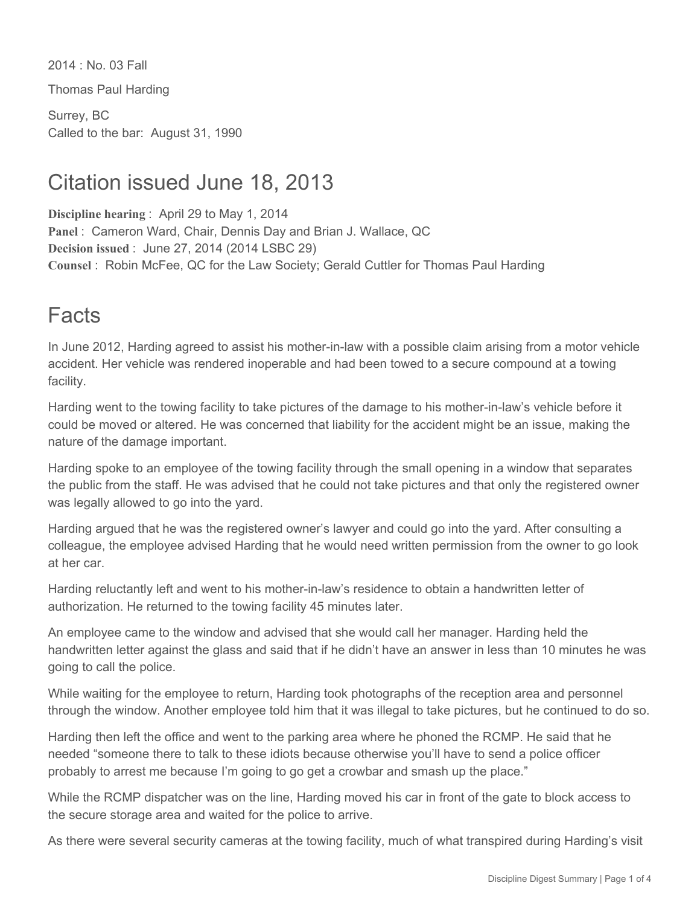2014 : No. 03 Fall

Thomas Paul Harding

Surrey, BC Called to the bar: August 31, 1990

### Citation issued June 18, 2013

**Discipline hearing** : April 29 to May 1, 2014 **Panel** : Cameron Ward, Chair, Dennis Day and Brian J. Wallace, QC **Decision issued** : June 27, 2014 (2014 LSBC 29) **Counsel** : Robin McFee, QC for the Law Society; Gerald Cuttler for Thomas Paul Harding

## Facts

In June 2012, Harding agreed to assist his mother-in-law with a possible claim arising from a motor vehicle accident. Her vehicle was rendered inoperable and had been towed to a secure compound at a towing facility.

Harding went to the towing facility to take pictures of the damage to his mother-in-law's vehicle before it could be moved or altered. He was concerned that liability for the accident might be an issue, making the nature of the damage important.

Harding spoke to an employee of the towing facility through the small opening in a window that separates the public from the staff. He was advised that he could not take pictures and that only the registered owner was legally allowed to go into the yard.

Harding argued that he was the registered owner's lawyer and could go into the yard. After consulting a colleague, the employee advised Harding that he would need written permission from the owner to go look at her car.

Harding reluctantly left and went to his mother-in-law's residence to obtain a handwritten letter of authorization. He returned to the towing facility 45 minutes later.

An employee came to the window and advised that she would call her manager. Harding held the handwritten letter against the glass and said that if he didn't have an answer in less than 10 minutes he was going to call the police.

While waiting for the employee to return, Harding took photographs of the reception area and personnel through the window. Another employee told him that it was illegal to take pictures, but he continued to do so.

Harding then left the office and went to the parking area where he phoned the RCMP. He said that he needed "someone there to talk to these idiots because otherwise you'll have to send a police officer probably to arrest me because I'm going to go get a crowbar and smash up the place."

While the RCMP dispatcher was on the line, Harding moved his car in front of the gate to block access to the secure storage area and waited for the police to arrive.

As there were several security cameras at the towing facility, much of what transpired during Harding's visit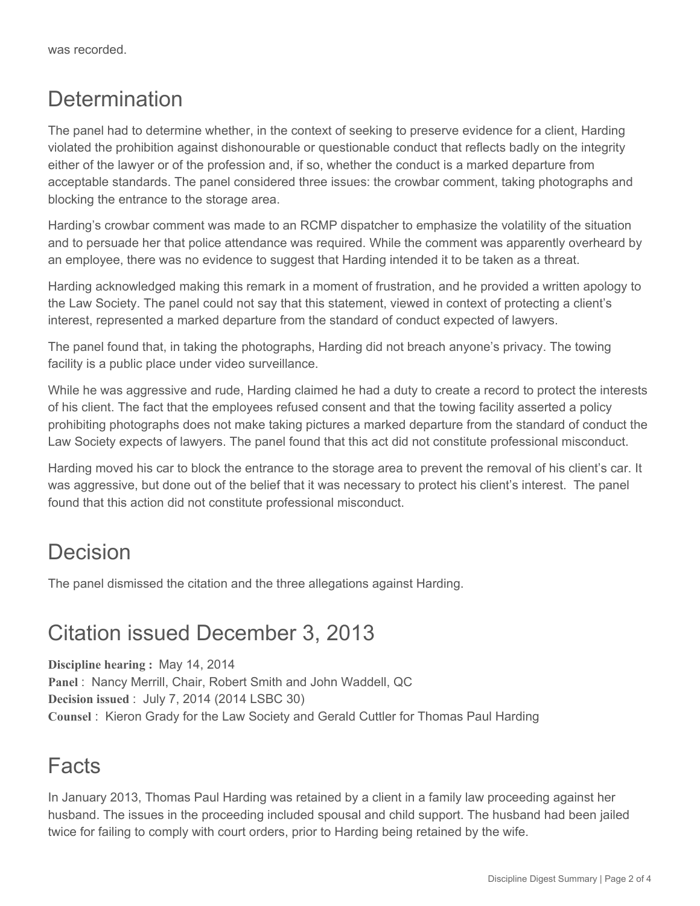### **Determination**

The panel had to determine whether, in the context of seeking to preserve evidence for a client, Harding violated the prohibition against dishonourable or questionable conduct that reflects badly on the integrity either of the lawyer or of the profession and, if so, whether the conduct is a marked departure from acceptable standards. The panel considered three issues: the crowbar comment, taking photographs and blocking the entrance to the storage area.

Harding's crowbar comment was made to an RCMP dispatcher to emphasize the volatility of the situation and to persuade her that police attendance was required. While the comment was apparently overheard by an employee, there was no evidence to suggest that Harding intended it to be taken as a threat.

Harding acknowledged making this remark in a moment of frustration, and he provided a written apology to the Law Society. The panel could not say that this statement, viewed in context of protecting a client's interest, represented a marked departure from the standard of conduct expected of lawyers.

The panel found that, in taking the photographs, Harding did not breach anyone's privacy. The towing facility is a public place under video surveillance.

While he was aggressive and rude, Harding claimed he had a duty to create a record to protect the interests of his client. The fact that the employees refused consent and that the towing facility asserted a policy prohibiting photographs does not make taking pictures a marked departure from the standard of conduct the Law Society expects of lawyers. The panel found that this act did not constitute professional misconduct.

Harding moved his car to block the entrance to the storage area to prevent the removal of his client's car. It was aggressive, but done out of the belief that it was necessary to protect his client's interest. The panel found that this action did not constitute professional misconduct.

### Decision

The panel dismissed the citation and the three allegations against Harding.

### Citation issued December 3, 2013

**Discipline hearing :** May 14, 2014 **Panel** : Nancy Merrill, Chair, Robert Smith and John Waddell, QC **Decision issued** : July 7, 2014 (2014 LSBC 30) **Counsel** : Kieron Grady for the Law Society and Gerald Cuttler for Thomas Paul Harding

### Facts

In January 2013, Thomas Paul Harding was retained by a client in a family law proceeding against her husband. The issues in the proceeding included spousal and child support. The husband had been jailed twice for failing to comply with court orders, prior to Harding being retained by the wife.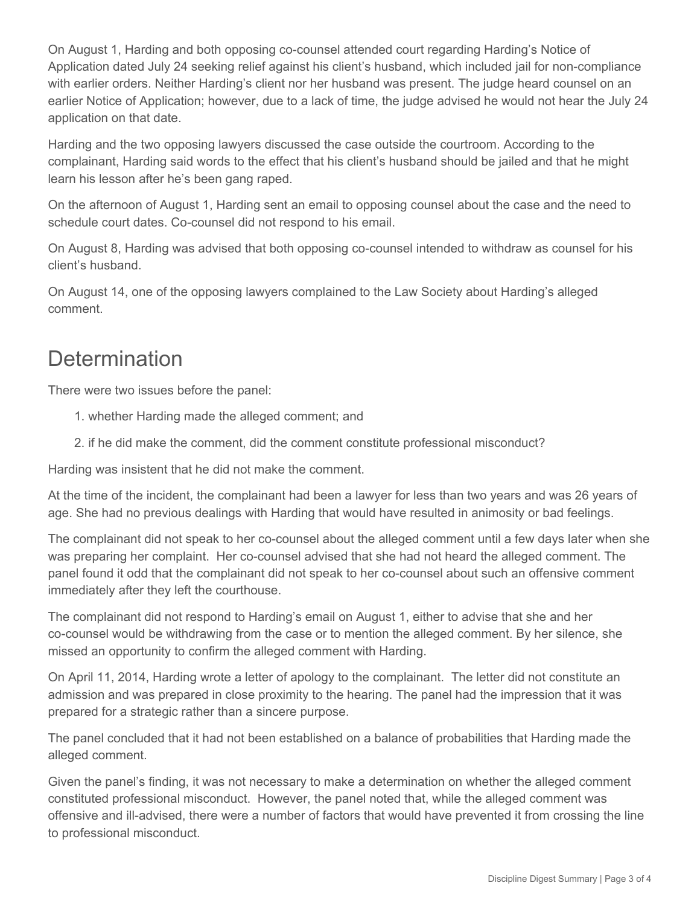On August 1, Harding and both opposing co-counsel attended court regarding Harding's Notice of Application dated July 24 seeking relief against his client's husband, which included jail for non-compliance with earlier orders. Neither Harding's client nor her husband was present. The judge heard counsel on an earlier Notice of Application; however, due to a lack of time, the judge advised he would not hear the July 24 application on that date.

Harding and the two opposing lawyers discussed the case outside the courtroom. According to the complainant, Harding said words to the effect that his client's husband should be jailed and that he might learn his lesson after he's been gang raped.

On the afternoon of August 1, Harding sent an email to opposing counsel about the case and the need to schedule court dates. Co-counsel did not respond to his email.

On August 8, Harding was advised that both opposing co-counsel intended to withdraw as counsel for his client's husband.

On August 14, one of the opposing lawyers complained to the Law Society about Harding's alleged comment.

# **Determination**

There were two issues before the panel:

- 1. whether Harding made the alleged comment; and
- 2. if he did make the comment, did the comment constitute professional misconduct?

Harding was insistent that he did not make the comment.

At the time of the incident, the complainant had been a lawyer for less than two years and was 26 years of age. She had no previous dealings with Harding that would have resulted in animosity or bad feelings.

The complainant did not speak to her co-counsel about the alleged comment until a few days later when she was preparing her complaint. Her co-counsel advised that she had not heard the alleged comment. The panel found it odd that the complainant did not speak to her co-counsel about such an offensive comment immediately after they left the courthouse.

The complainant did not respond to Harding's email on August 1, either to advise that she and her co-counsel would be withdrawing from the case or to mention the alleged comment. By her silence, she missed an opportunity to confirm the alleged comment with Harding.

On April 11, 2014, Harding wrote a letter of apology to the complainant. The letter did not constitute an admission and was prepared in close proximity to the hearing. The panel had the impression that it was prepared for a strategic rather than a sincere purpose.

The panel concluded that it had not been established on a balance of probabilities that Harding made the alleged comment.

Given the panel's finding, it was not necessary to make a determination on whether the alleged comment constituted professional misconduct. However, the panel noted that, while the alleged comment was offensive and ill-advised, there were a number of factors that would have prevented it from crossing the line to professional misconduct.